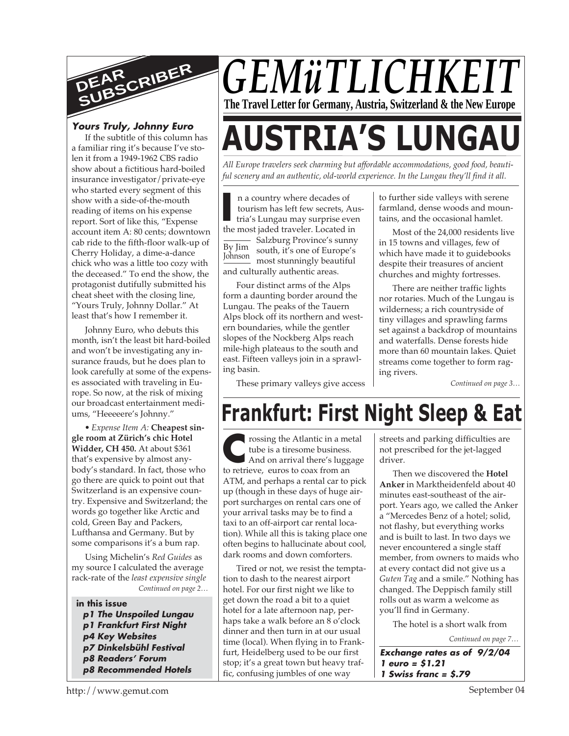

If the subtitle of this column has a familiar ring it's because I've stolen it from a 1949-1962 CBS radio show about a fictitious hard-boiled insurance investigator/private-eye who started every segment of this show with a side-of-the-mouth reading of items on his expense report. Sort of like this, "Expense account item A: 80 cents; downtown cab ride to the fifth-floor walk-up of Cherry Holiday, a dime-a-dance chick who was a little too cozy with the deceased." To end the show, the protagonist dutifully submitted his cheat sheet with the closing line, "Yours Truly, Johnny Dollar." At least that's how I remember it.

Johnny Euro, who debuts this month, isn't the least bit hard-boiled and won't be investigating any insurance frauds, but he does plan to look carefully at some of the expenses associated with traveling in Europe. So now, at the risk of mixing our broadcast entertainment mediums, "Heeeeere's Johnny."

*• Expense Item A:* **Cheapest single room at Zürich's chic Hotel Widder, CH 450.** At about \$361 that's expensive by almost anybody's standard. In fact, those who go there are quick to point out that Switzerland is an expensive country. Expensive and Switzerland; the words go together like Arctic and cold, Green Bay and Packers, Lufthansa and Germany. But by some comparisons it's a bum rap.

*Continued on page 2…* Using Michelin's *Red Guides* as my source I calculated the average rack-rate of the *least expensive single*

#### **in this issue p1 The Unspoiled Lungau p1 Frankfurt First Night p4 Key Websites p7 Dinkelsbühl Festival p8 Readers' Forum p8 Recommended Hotels**

# *GEMüTLICHKEIT* **The Travel Letter for Germany, Austria, Switzerland & the New Europe**

# *Yours Truly, Johnny Euro*<br>If the subtitle of this column has<br>a familiar ring it's because I've sto-

*All Europe travelers seek charming but affordable accommodations, good food, beautiful scenery and an authentic, old-world experience. In the Lungau they'll find it all.*

In a country where decades of tourism has left few secrets, At tria's Lungau may surprise eve the most jaded traveler. Located in By Jim Johnson n a country where decades of tourism has left few secrets, Austria's Lungau may surprise even Salzburg Province's sunny south, it's one of Europe's most stunningly beautiful and culturally authentic areas.

Four distinct arms of the Alps form a daunting border around the Lungau. The peaks of the Tauern Alps block off its northern and western boundaries, while the gentler slopes of the Nockberg Alps reach mile-high plateaus to the south and east. Fifteen valleys join in a sprawling basin.

These primary valleys give access

to further side valleys with serene farmland, dense woods and mountains, and the occasional hamlet.

Most of the 24,000 residents live in 15 towns and villages, few of which have made it to guidebooks despite their treasures of ancient churches and mighty fortresses.

There are neither traffic lights nor rotaries. Much of the Lungau is wilderness; a rich countryside of tiny villages and sprawling farms set against a backdrop of mountains and waterfalls. Dense forests hide more than 60 mountain lakes. Quiet streams come together to form raging rivers.

*Continued on page 3…*

# **Frankfurt: First Night Sleep & Eat**

**C** to retrieve, euros to coax from an rossing the Atlantic in a metal tube is a tiresome business. And on arrival there's luggage ATM, and perhaps a rental car to pick up (though in these days of huge airport surcharges on rental cars one of your arrival tasks may be to find a taxi to an off-airport car rental location). While all this is taking place one often begins to hallucinate about cool, dark rooms and down comforters.

Tired or not, we resist the temptation to dash to the nearest airport hotel. For our first night we like to get down the road a bit to a quiet hotel for a late afternoon nap, perhaps take a walk before an 8 o'clock dinner and then turn in at our usual time (local). When flying in to Frankfurt, Heidelberg used to be our first stop; it's a great town but heavy traffic, confusing jumbles of one way

streets and parking difficulties are not prescribed for the jet-lagged driver.

Then we discovered the **Hotel Anker** in Marktheidenfeld about 40 minutes east-southeast of the airport. Years ago, we called the Anker a "Mercedes Benz of a hotel; solid, not flashy, but everything works and is built to last. In two days we never encountered a single staff member, from owners to maids who at every contact did not give us a *Guten Tag* and a smile." Nothing has changed. The Deppisch family still rolls out as warm a welcome as you'll find in Germany.

The hotel is a short walk from

*Continued on page 7…*

**Exchange rates as of 9/2/04 1 euro = \$1.21 1 Swiss franc = \$.79**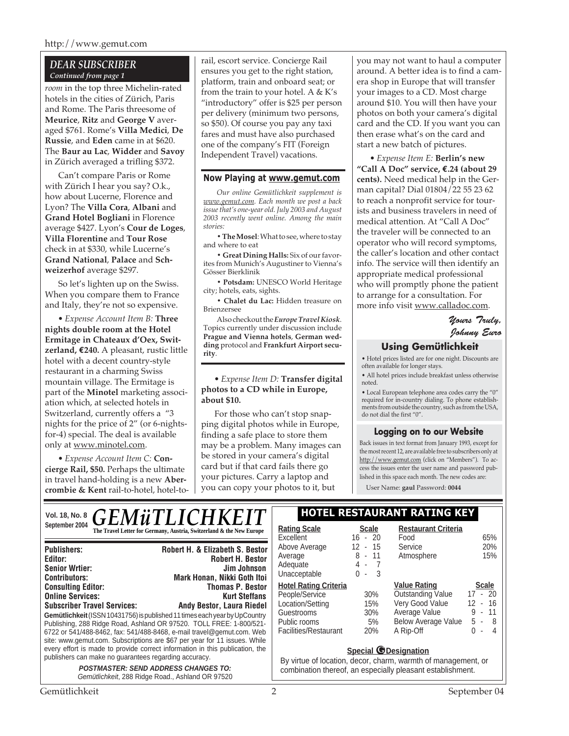#### *DEAR SUBSCRIBER Continued from page 1*

*room* in the top three Michelin-rated hotels in the cities of Zürich, Paris and Rome. The Paris threesome of **Meurice**, **Ritz** and **George V** averaged \$761. Rome's **Villa Medici**, **De Russie**, and **Eden** came in at \$620. The **Baur au Lac**, **Widder** and **Savoy** in Zürich averaged a trifling \$372.

Can't compare Paris or Rome with Zürich I hear you say? O.k., how about Lucerne, Florence and Lyon? The **Villa Cora**, **Albani** and **Grand Hotel Bogliani** in Florence average \$427. Lyon's **Cour de Loges**, **Villa Florentine** and **Tour Rose** check in at \$330, while Lucerne's **Grand National**, **Palace** and **Schweizerhof** average \$297.

So let's lighten up on the Swiss. When you compare them to France and Italy, they're not so expensive.

*• Expense Account Item B:* **Three nights double room at the Hotel Ermitage in Chateaux d'Oex, Switzerland, €240.** A pleasant, rustic little hotel with a decent country-style restaurant in a charming Swiss mountain village. The Ermitage is part of the **Minotel** marketing association which, at selected hotels in Switzerland, currently offers a "3 nights for the price of 2" (or 6-nightsfor-4) special. The deal is available only at www.minotel.com.

*• Expense Account Item C:* **Concierge Rail, \$50.** Perhaps the ultimate in travel hand-holding is a new **Abercrombie & Kent** rail-to-hotel, hotel-torail, escort service. Concierge Rail ensures you get to the right station, platform, train and onboard seat; or from the train to your hotel. A & K's "introductory" offer is \$25 per person per delivery (minimum two persons, so \$50). Of course you pay any taxi fares and must have also purchased one of the company's FIT (Foreign Independent Travel) vacations.

#### **Now Playing at www.gemut.com**

*Our online Gemütlichkeit supplement is www.gemut.com. Each month we post a back issue that's one-year old. July 2003 and August 2003 recently went online. Among the main stories:*

**• The Mosel**: What to see, where to stay and where to eat

**• Great Dining Halls:** Six of our favorites from Munich's Augustiner to Vienna's Gösser Bierklinik

**• Potsdam:** UNESCO World Heritage city; hotels, eats, sights.

**• Chalet du Lac:** Hidden treasure on Brienzersee

Also checkout the *Europe Travel Kiosk*. Topics currently under discussion include **Prague and Vienna hotels**, **German wedding** protocol and **Frankfurt Airport security**.

*• Expense Item D:* **Transfer digital photos to a CD while in Europe, about \$10.**

For those who can't stop snapping digital photos while in Europe, finding a safe place to store them may be a problem. Many images can be stored in your camera's digital card but if that card fails there go your pictures. Carry a laptop and you can copy your photos to it, but

 $\mathbb{R}$ 

you may not want to haul a computer around. A better idea is to find a camera shop in Europe that will transfer your images to a CD. Most charge around \$10. You will then have your photos on both your camera's digital card and the CD. If you want you can then erase what's on the card and start a new batch of pictures.

*• Expense Item E:* **Berlin's new "Call A Doc" service, €.24 (about 29 cents).** Need medical help in the German capital? Dial 01804/22 55 23 62 to reach a nonprofit service for tourists and business travelers in need of medical attention. At "Call A Doc" the traveler will be connected to an operator who will record symptoms, the caller's location and other contact info. The service will then identify an appropriate medical professional who will promptly phone the patient to arrange for a consultation. For more info visit www.calladoc.com.

#### *Yours Truly, Johnny Euro*

#### **Using Gemütlichkeit**

• Hotel prices listed are for one night. Discounts are often available for longer stays.

• All hotel prices include breakfast unless otherwise noted.

• Local European telephone area codes carry the "0" required for in-country dialing. To phone establishments from outside the country, such as from the USA, do not dial the first "0".

#### **Logging on to our Website**

Back issues in text format from January 1993, except for the most recent 12, are available free to subscribers only at http://www.gemut.com (click on "Members"). To access the issues enter the user name and password published in this space each month. The new codes are:

User Name: **gaul** Password: **0044**

#### Vol. 18, No. 8 **C E M 3: TI I C H I V E I T** | HOTEL RESTAURANT RATING KEY September 2004<br> **The Travel Letter for Germany, Austria, Switzerland & the New Europe
| Rating Scale** Scale *GENIUI LICHI*

| <b>Publishers:</b>                                                           | <b>Robert H. &amp; Elizabeth S. Bestor</b> |  |  |
|------------------------------------------------------------------------------|--------------------------------------------|--|--|
| Editor:                                                                      | <b>Robert H. Bestor</b>                    |  |  |
| <b>Senior Wrtier:</b>                                                        | Jim Johnson                                |  |  |
| <b>Contributors:</b>                                                         | Mark Honan, Nikki Goth Itoi                |  |  |
| <b>Consulting Editor:</b>                                                    | <b>Thomas P. Bestor</b>                    |  |  |
| <b>Online Services:</b>                                                      | <b>Kurt Steffans</b>                       |  |  |
| <b>Subscriber Travel Services:</b>                                           | <b>Andy Bestor, Laura Riedel</b>           |  |  |
| Gemütlichkeit (ISSN 10431756) is published 11 times each year by UpCountry   |                                            |  |  |
| Publishing, 288 Ridge Road, Ashland OR 97520. TOLL FREE: 1-800/521-          |                                            |  |  |
| 6722 or 541/488-8462, fax: 541/488-8468, e-mail travel@gemut.com. Web        |                                            |  |  |
| site: www.gemut.com. Subscriptions are \$67 per year for 11 issues. While    |                                            |  |  |
| every effort is made to provide correct information in this publication, the |                                            |  |  |
| publishers can make no guarantees regarding accuracy.                        |                                            |  |  |
| <b>POSTMASTER: SEND ADDRESS CHANGES TO:</b>                                  |                                            |  |  |

Gemütlichkeit, 288 Ridge Road., Ashland OR 97520

| <b>Rating Scale</b>          | Scale                              | <b>Restaurant Criteria</b> |                      |
|------------------------------|------------------------------------|----------------------------|----------------------|
| Excellent                    | $-20$<br>16                        | Food                       | 65%                  |
| Above Average                | 12<br>$-15$                        | Service                    | 20%                  |
| Average                      | 8 - 11                             | Atmosphere                 | 15%                  |
| Adequate                     | 4-7                                |                            |                      |
| Unacceptable                 | 3<br>0<br>$\overline{\phantom{a}}$ |                            |                      |
| <b>Hotel Rating Criteria</b> |                                    | <b>Value Rating</b>        | <b>Scale</b>         |
| People/Service               | 30%                                | <b>Outstanding Value</b>   | - 20<br>17<br>$\sim$ |
| Location/Setting             | 15%                                | Very Good Value            | - 16<br>12           |
| Guestrooms                   | 30%                                | Average Value              | 9<br>- 11            |
| Public rooms                 | 5%                                 | Below Average Value        | 5 -<br>-8            |
| Facilities/Restaurant        | 20%                                | A Rip-Off                  | U<br>4<br>ä,         |
|                              |                                    |                            |                      |

#### **Special @Designation**

By virtue of location, decor, charm, warmth of management, or combination thereof, an especially pleasant establishment.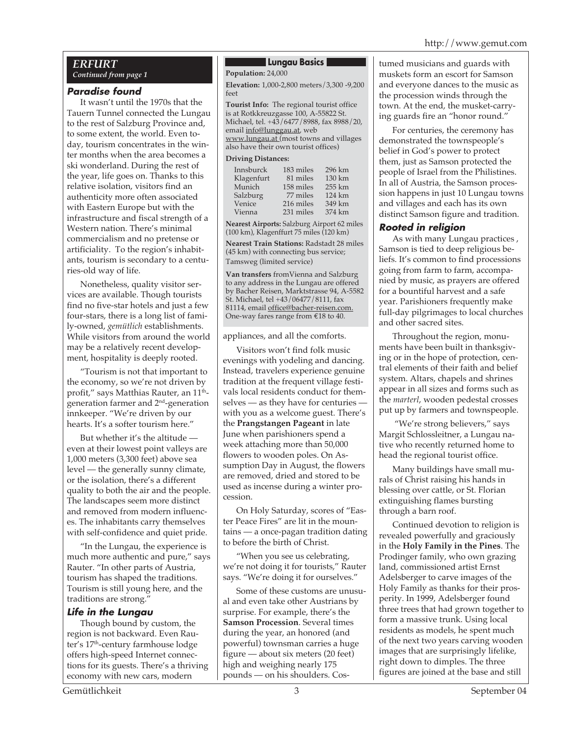#### *ERFURT Continued from page 1*

#### **Paradise found**

It wasn't until the 1970s that the Tauern Tunnel connected the Lungau to the rest of Salzburg Province and, to some extent, the world. Even today, tourism concentrates in the winter months when the area becomes a ski wonderland. During the rest of the year, life goes on. Thanks to this relative isolation, visitors find an authenticity more often associated with Eastern Europe but with the infrastructure and fiscal strength of a Western nation. There's minimal commercialism and no pretense or artificiality. To the region's inhabitants, tourism is secondary to a centuries-old way of life.

Nonetheless, quality visitor services are available. Though tourists find no five-star hotels and just a few four-stars, there is a long list of family-owned, *gemütlich* establishments. While visitors from around the world may be a relatively recent development, hospitality is deeply rooted.

"Tourism is not that important to the economy, so we're not driven by profit," says Matthias Rauter, an 11<sup>th</sup>generation farmer and 2nd-generation innkeeper. "We're driven by our hearts. It's a softer tourism here."

But whether it's the altitude even at their lowest point valleys are 1,000 meters (3,300 feet) above sea level — the generally sunny climate, or the isolation, there's a different quality to both the air and the people. The landscapes seem more distinct and removed from modern influences. The inhabitants carry themselves with self-confidence and quiet pride.

"In the Lungau, the experience is much more authentic and pure," says Rauter. "In other parts of Austria, tourism has shaped the traditions. Tourism is still young here, and the traditions are strong."

#### **Life in the Lungau**

Though bound by custom, the region is not backward. Even Rauter's 17<sup>th</sup>-century farmhouse lodge offers high-speed Internet connections for its guests. There's a thriving economy with new cars, modern

#### **Lungau Basics**

**Population:** 24,000

**Elevation:** 1,000-2,800 meters/3,300 -9,200 feet

**Tourist Info:** The regional tourist office is at Rotkkreuzgasse 100, A-55822 St. Michael, tel. +43/6477/8988, fax 8988/20, email info@lunggau.at, web www.lungau.at (most towns and villages also have their own tourist offices)

#### **Driving Distances:**

| Innsburck  | 183 miles | 296 km |
|------------|-----------|--------|
| Klagenfurt | 81 miles  | 130 km |
| Munich     | 158 miles | 255 km |
| Salzburg   | 77 miles  | 124 km |
| Venice     | 216 miles | 349 km |
| Vienna     | 231 miles | 374 km |

**Nearest Airports:** Salzburg Airport 62 miles (100 km), Klagenffurt 75 miles (120 km)

**Nearest Train Stations:** Radstadt 28 miles (45 km) with connecting bus service; Tamsweg (limited service)

**Van transfers** fromVienna and Salzburg to any address in the Lungau are offered by Bacher Reisen, Marktstrasse 94, A-5582 St. Michael, tel +43/06477/8111, fax 81114, email office@bacher-reisen.com. One-way fares range from €18 to 40.

#### appliances, and all the comforts.

Visitors won't find folk music evenings with yodeling and dancing. Instead, travelers experience genuine tradition at the frequent village festivals local residents conduct for themselves — as they have for centuries with you as a welcome guest. There's the **Prangstangen Pageant** in late June when parishioners spend a week attaching more than 50,000 flowers to wooden poles. On Assumption Day in August, the flowers are removed, dried and stored to be used as incense during a winter procession.

On Holy Saturday, scores of "Easter Peace Fires" are lit in the mountains — a once-pagan tradition dating to before the birth of Christ.

"When you see us celebrating, we're not doing it for tourists," Rauter says. "We're doing it for ourselves."

Some of these customs are unusual and even take other Austrians by surprise. For example, there's the **Samson Procession**. Several times during the year, an honored (and powerful) townsman carries a huge figure — about six meters (20 feet) high and weighing nearly 175 pounds — on his shoulders. Costumed musicians and guards with muskets form an escort for Samson and everyone dances to the music as the procession winds through the town. At the end, the musket-carrying guards fire an "honor round."

For centuries, the ceremony has demonstrated the townspeople's belief in God's power to protect them, just as Samson protected the people of Israel from the Philistines. In all of Austria, the Samson procession happens in just 10 Lungau towns and villages and each has its own distinct Samson figure and tradition.

#### **Rooted in religion**

As with many Lungau practices , Samson is tied to deep religious beliefs. It's common to find processions going from farm to farm, accompanied by music, as prayers are offered for a bountiful harvest and a safe year. Parishioners frequently make full-day pilgrimages to local churches and other sacred sites.

Throughout the region, monuments have been built in thanksgiving or in the hope of protection, central elements of their faith and belief system. Altars, chapels and shrines appear in all sizes and forms such as the *marterl*, wooden pedestal crosses put up by farmers and townspeople.

 "We're strong believers," says Margit Schlossleitner, a Lungau native who recently returned home to head the regional tourist office.

Many buildings have small murals of Christ raising his hands in blessing over cattle, or St. Florian extinguishing flames bursting through a barn roof.

Continued devotion to religion is revealed powerfully and graciously in the **Holy Family in the Pines**. The Prodinger family, who own grazing land, commissioned artist Ernst Adelsberger to carve images of the Holy Family as thanks for their prosperity. In 1999, Adelsberger found three trees that had grown together to form a massive trunk. Using local residents as models, he spent much of the next two years carving wooden images that are surprisingly lifelike, right down to dimples. The three figures are joined at the base and still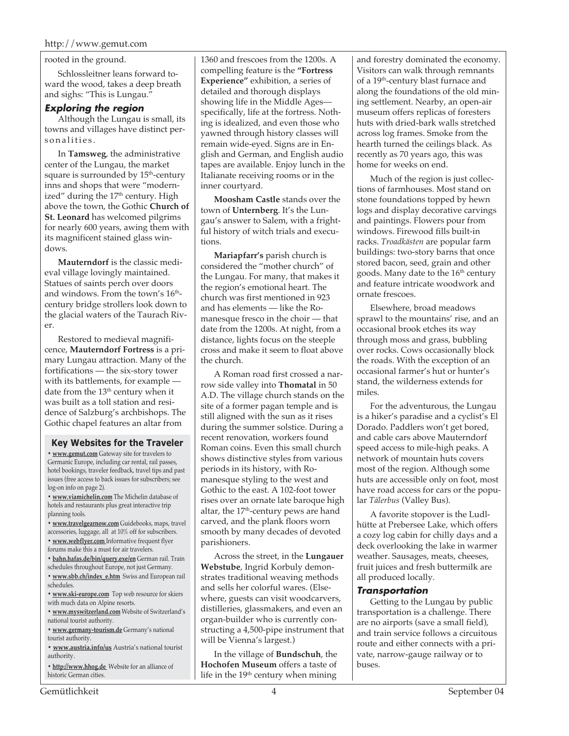#### rooted in the ground.

Schlossleitner leans forward toward the wood, takes a deep breath and sighs: "This is Lungau."

#### **Exploring the region**

Although the Lungau is small, its towns and villages have distinct personalities.

In **Tamsweg**, the administrative center of the Lungau, the market square is surrounded by 15<sup>th</sup>-century inns and shops that were "modernized" during the  $17<sup>th</sup>$  century. High above the town, the Gothic **Church of St. Leonard** has welcomed pilgrims for nearly 600 years, awing them with its magnificent stained glass windows.

**Mauterndorf** is the classic medieval village lovingly maintained. Statues of saints perch over doors and windows. From the town's 16<sup>th</sup>century bridge strollers look down to the glacial waters of the Taurach River.

Restored to medieval magnificence, **Mauterndorf Fortress** is a primary Lungau attraction. Many of the fortifications — the six-story tower with its battlements, for example date from the 13<sup>th</sup> century when it was built as a toll station and residence of Salzburg's archbishops. The Gothic chapel features an altar from

#### **Key Websites for the Traveler**

**• www.gemut.com** Gateway site for travelers to Germanic Europe, including car rental, rail passes, hotel bookings, traveler feedback, travel tips and past issues (free access to back issues for subscribers; see log-on info on page 2).

**• www.viamichelin.com** The Michelin database of hotels and restaurants plus great interactive trip planning tools.

**• www.travelgearnow.com** Guidebooks, maps, travel accessories, luggage, all at 10% off for subscribers.

- **www.webflyer.com** Informative frequent flyer forums make this a must for air travelers.
- **bahn.hafas.de/bin/query.exe/en** German rail. Train
- schedules throughout Europe, not just Germany.
- **www.sbb.ch/index\_e.htm** Swiss and European rail schedules.
- **www.ski-europe.com** Top web resource for skiers with much data on Alpine resorts.
- **www.myswitzerland.com** Website of Switzerland's national tourist authority.

**• www.germany-tourism.de** Germany's national tourist authority.

**• www.austria.info/us** Austria's national tourist authority.

**• http://www.hhog.de** Website for an alliance of historic German cities.

1360 and frescoes from the 1200s. A compelling feature is the **"Fortress Experience"** exhibition, a series of detailed and thorough displays showing life in the Middle Ages specifically, life at the fortress. Nothing is idealized, and even those who yawned through history classes will remain wide-eyed. Signs are in English and German, and English audio tapes are available. Enjoy lunch in the Italianate receiving rooms or in the inner courtyard.

**Moosham Castle** stands over the town of **Unternberg**. It's the Lungau's answer to Salem, with a frightful history of witch trials and executions.

**Mariapfarr's** parish church is considered the "mother church" of the Lungau. For many, that makes it the region's emotional heart. The church was first mentioned in 923 and has elements — like the Romanesque fresco in the choir — that date from the 1200s. At night, from a distance, lights focus on the steeple cross and make it seem to float above the church.

A Roman road first crossed a narrow side valley into **Thomatal** in 50 A.D. The village church stands on the site of a former pagan temple and is still aligned with the sun as it rises during the summer solstice. During a recent renovation, workers found Roman coins. Even this small church shows distinctive styles from various periods in its history, with Romanesque styling to the west and Gothic to the east. A 102-foot tower rises over an ornate late baroque high altar, the  $17<sup>th</sup>$ -century pews are hand carved, and the plank floors worn smooth by many decades of devoted parishioners.

Across the street, in the **Lungauer Webstube**, Ingrid Korbuly demonstrates traditional weaving methods and sells her colorful wares. (Elsewhere, guests can visit woodcarvers, distilleries, glassmakers, and even an organ-builder who is currently constructing a 4,500-pipe instrument that will be Vienna's largest.)

In the village of **Bundschuh**, the **Hochofen Museum** offers a taste of life in the 19<sup>th</sup> century when mining

and forestry dominated the economy. Visitors can walk through remnants of a 19<sup>th</sup>-century blast furnace and along the foundations of the old mining settlement. Nearby, an open-air museum offers replicas of foresters huts with dried-bark walls stretched across log frames. Smoke from the hearth turned the ceilings black. As recently as 70 years ago, this was home for weeks on end.

Much of the region is just collections of farmhouses. Most stand on stone foundations topped by hewn logs and display decorative carvings and paintings. Flowers pour from windows. Firewood fills built-in racks. *Troadkästen* are popular farm buildings: two-story barns that once stored bacon, seed, grain and other goods. Many date to the 16<sup>th</sup> century and feature intricate woodwork and ornate frescoes.

Elsewhere, broad meadows sprawl to the mountains' rise, and an occasional brook etches its way through moss and grass, bubbling over rocks. Cows occasionally block the roads. With the exception of an occasional farmer's hut or hunter's stand, the wilderness extends for miles.

For the adventurous, the Lungau is a hiker's paradise and a cyclist's El Dorado. Paddlers won't get bored, and cable cars above Mauterndorf speed access to mile-high peaks. A network of mountain huts covers most of the region. Although some huts are accessible only on foot, most have road access for cars or the popular *Tälerbus* (Valley Bus).

A favorite stopover is the Ludlhütte at Prebersee Lake, which offers a cozy log cabin for chilly days and a deck overlooking the lake in warmer weather. Sausages, meats, cheeses, fruit juices and fresh buttermilk are all produced locally.

#### **Transportation**

Getting to the Lungau by public transportation is a challenge. There are no airports (save a small field), and train service follows a circuitous route and either connects with a private, narrow-gauge railway or to buses.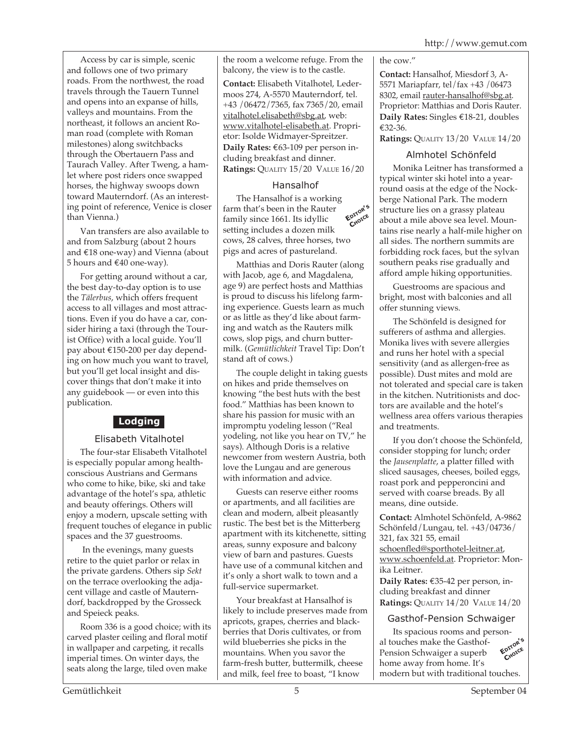Access by car is simple, scenic and follows one of two primary roads. From the northwest, the road travels through the Tauern Tunnel and opens into an expanse of hills, valleys and mountains. From the northeast, it follows an ancient Roman road (complete with Roman milestones) along switchbacks through the Obertauern Pass and Taurach Valley. After Tweng, a hamlet where post riders once swapped horses, the highway swoops down toward Mauterndorf. (As an interesting point of reference, Venice is closer than Vienna.)

Van transfers are also available to and from Salzburg (about 2 hours and €18 one-way) and Vienna (about 5 hours and €40 one-way).

For getting around without a car, the best day-to-day option is to use the *Tälerbus*, which offers frequent access to all villages and most attractions. Even if you do have a car, consider hiring a taxi (through the Tourist Office) with a local guide. You'll pay about €150-200 per day depending on how much you want to travel, but you'll get local insight and discover things that don't make it into any guidebook — or even into this publication.

#### **Lodging**

#### Elisabeth Vitalhotel

The four-star Elisabeth Vitalhotel is especially popular among healthconscious Austrians and Germans who come to hike, bike, ski and take advantage of the hotel's spa, athletic and beauty offerings. Others will enjoy a modern, upscale setting with frequent touches of elegance in public spaces and the 37 guestrooms.

 In the evenings, many guests retire to the quiet parlor or relax in the private gardens. Others sip *Sekt* on the terrace overlooking the adjacent village and castle of Mauterndorf, backdropped by the Grosseck and Speieck peaks.

Room 336 is a good choice; with its carved plaster ceiling and floral motif in wallpaper and carpeting, it recalls imperial times. On winter days, the seats along the large, tiled oven make

the room a welcome refuge. From the balcony, the view is to the castle.

**Contact:** Elisabeth Vitalhotel, Ledermoos 274, A-5570 Mauterndorf, tel. +43 /06472/7365, fax 7365/20, email vitalhotel.elisabeth@sbg.at, web: www.vitalhotel-elisabeth.at. Proprietor: Isolde Widmayer-Spreitzer. **Daily Rates:** €63-109 per person including breakfast and dinner. **Ratings:** QUALITY 15/20 VALUE 16/20

#### Hansalhof

**EDITOR'<sup>S</sup> CHOICE** The Hansalhof is a working farm that's been in the Rauter family since 1661. Its idyllic setting includes a dozen milk cows, 28 calves, three horses, two pigs and acres of pastureland.

Matthias and Doris Rauter (along with Jacob, age 6, and Magdalena, age 9) are perfect hosts and Matthias is proud to discuss his lifelong farming experience. Guests learn as much or as little as they'd like about farming and watch as the Rauters milk cows, slop pigs, and churn buttermilk. (*Gemütlichkeit* Travel Tip: Don't stand aft of cows.)

The couple delight in taking guests on hikes and pride themselves on knowing "the best huts with the best food." Matthias has been known to share his passion for music with an impromptu yodeling lesson ("Real yodeling, not like you hear on TV," he says). Although Doris is a relative newcomer from western Austria, both love the Lungau and are generous with information and advice.

Guests can reserve either rooms or apartments, and all facilities are clean and modern, albeit pleasantly rustic. The best bet is the Mitterberg apartment with its kitchenette, sitting areas, sunny exposure and balcony view of barn and pastures. Guests have use of a communal kitchen and it's only a short walk to town and a full-service supermarket.

Your breakfast at Hansalhof is likely to include preserves made from apricots, grapes, cherries and blackberries that Doris cultivates, or from wild blueberries she picks in the mountains. When you savor the farm-fresh butter, buttermilk, cheese and milk, feel free to boast, "I know

the cow."

**Contact:** Hansalhof, Miesdorf 3, A-5571 Mariapfarr, tel/fax +43 /06473 8302, email rauter-hansalhof@sbg.at. Proprietor: Matthias and Doris Rauter. **Daily Rates:** Singles €18-21, doubles €32-36.

**Ratings:** QUALITY 13/20 VALUE 14/20

#### Almhotel Schönfeld

Monika Leitner has transformed a typical winter ski hotel into a yearround oasis at the edge of the Nockberge National Park. The modern structure lies on a grassy plateau about a mile above sea level. Mountains rise nearly a half-mile higher on all sides. The northern summits are forbidding rock faces, but the sylvan southern peaks rise gradually and afford ample hiking opportunities.

Guestrooms are spacious and bright, most with balconies and all offer stunning views.

The Schönfeld is designed for sufferers of asthma and allergies. Monika lives with severe allergies and runs her hotel with a special sensitivity (and as allergen-free as possible). Dust mites and mold are not tolerated and special care is taken in the kitchen. Nutritionists and doctors are available and the hotel's wellness area offers various therapies and treatments.

If you don't choose the Schönfeld, consider stopping for lunch; order the *Jausenplatte*, a platter filled with sliced sausages, cheeses, boiled eggs, roast pork and pepperoncini and served with coarse breads. By all means, dine outside.

**Contact:** Almhotel Schönfeld, A-9862 Schönfeld/Lungau, tel. +43/04736/ 321, fax 321 55, email schoenfled@sporthotel-leitner.at, www.schoenfeld.at. Proprietor: Monika Leitner.

**Daily Rates:** €35-42 per person, including breakfast and dinner **Ratings:** QUALITY 14/20 VALUE 14/20

#### Gasthof-Pension Schwaiger

Its spacious rooms and personal touches make the Gasthof-Pension Schwaiger a superb home away from home. It's modern but with traditional touches. **EDITOR'<sup>S</sup>** CHOICE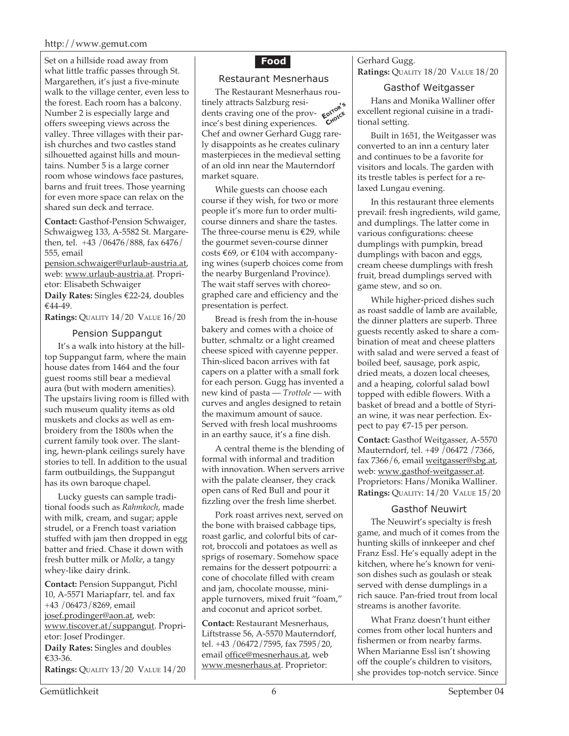#### http://www.gemut.com

Set on a hillside road away from what little traffic passes through St. Margarethen, it's just a five-minute walk to the village center, even less to the forest. Each room has a balcony. Number 2 is especially large and offers sweeping views across the valley. Three villages with their parish churches and two castles stand silhouetted against hills and mountains. Number 5 is a large corner room whose windows face pastures, barns and fruit trees. Those yearning for even more space can relax on the shared sun deck and terrace.

**Contact:** Gasthof-Pension Schwaiger, Schwaigweg 133, A-5582 St. Margarethen, tel. +43 /06476/888, fax 6476/ 555, email

pension.schwaiger@urlaub-austria.at, web: www.urlaub-austria.at. Proprietor: Elisabeth Schwaiger **Daily Rates:** Singles €22-24, doubles €44-49.

**Ratings:** QUALITY 14/20 VALUE 16/20

#### Pension Suppangut

It's a walk into history at the hilltop Suppangut farm, where the main house dates from 1464 and the four guest rooms still bear a medieval aura (but with modern amenities). The upstairs living room is filled with such museum quality items as old muskets and clocks as well as embroidery from the 1800s when the current family took over. The slanting, hewn-plank ceilings surely have stories to tell. In addition to the usual farm outbuildings, the Suppangut has its own baroque chapel.

Lucky guests can sample traditional foods such as *Rahmkoch*, made with milk, cream, and sugar; apple strudel, or a French toast variation stuffed with jam then dropped in egg batter and fried. Chase it down with fresh butter milk or *Molke*, a tangy whey-like dairy drink.

**Contact:** Pension Suppangut, Pichl 10, A-5571 Mariapfarr, tel. and fax +43 /06473/8269, email josef.prodinger@aon.at, web: www.tiscover.at/suppangut. Proprietor: Josef Prodinger. **Daily Rates:** Singles and doubles €33-36. **Ratings:** QUALITY 13/20 VALUE 14/20

### **Food**

#### Restaurant Mesnerhaus

**E**<br>dents craving one of the prov- **پروہن ج**ھتا **CHOICE** The Restaurant Mesnerhaus roudents craving one of the province's best dining experiences. Chef and owner Gerhard Gugg rarely disappoints as he creates culinary masterpieces in the medieval setting of an old inn near the Mauterndorf market square.

While guests can choose each course if they wish, for two or more people it's more fun to order multicourse dinners and share the tastes. The three-course menu is  $€29$ , while the gourmet seven-course dinner costs €69, or €104 with accompanying wines (superb choices come from the nearby Burgenland Province). The wait staff serves with choreographed care and efficiency and the presentation is perfect.

Bread is fresh from the in-house bakery and comes with a choice of butter, schmaltz or a light creamed cheese spiced with cayenne pepper. Thin-sliced bacon arrives with fat capers on a platter with a small fork for each person. Gugg has invented a new kind of pasta — *Trottole* — with curves and angles designed to retain the maximum amount of sauce. Served with fresh local mushrooms in an earthy sauce, it's a fine dish.

A central theme is the blending of formal with informal and tradition with innovation. When servers arrive with the palate cleanser, they crack open cans of Red Bull and pour it fizzling over the fresh lime sherbet.

Pork roast arrives next, served on the bone with braised cabbage tips, roast garlic, and colorful bits of carrot, broccoli and potatoes as well as sprigs of rosemary. Somehow space remains for the dessert potpourri: a cone of chocolate filled with cream and jam, chocolate mousse, miniapple turnovers, mixed fruit "foam," and coconut and apricot sorbet.

**Contact:** Restaurant Mesnerhaus, Liftstrasse 56, A-5570 Mauterndorf, tel. +43 /06472/7595, fax 7595/20, email office@mesnerhaus.at, web www.mesnerhaus.at. Proprietor:

Gerhard Gugg. **Ratings:** QUALITY 18/20 VALUE 18/20

#### Gasthof Weitgasser

Hans and Monika Walliner offer excellent regional cuisine in a traditional setting.

Built in 1651, the Weitgasser was converted to an inn a century later and continues to be a favorite for visitors and locals. The garden with its trestle tables is perfect for a relaxed Lungau evening.

In this restaurant three elements prevail: fresh ingredients, wild game, and dumplings. The latter come in various configurations: cheese dumplings with pumpkin, bread dumplings with bacon and eggs, cream cheese dumplings with fresh fruit, bread dumplings served with game stew, and so on.

While higher-priced dishes such as roast saddle of lamb are available, the dinner platters are superb. Three guests recently asked to share a combination of meat and cheese platters with salad and were served a feast of boiled beef, sausage, pork aspic, dried meats, a dozen local cheeses, and a heaping, colorful salad bowl topped with edible flowers. With a basket of bread and a bottle of Styrian wine, it was near perfection. Expect to pay €7-15 per person.

**Contact:** Gasthof Weitgasser, A-5570 Mauterndorf, tel. +49 /06472 /7366, fax 7366/6, email weitgasser@sbg.at, web: www.gasthof-weitgasser.at. Proprietors: Hans/Monika Walliner. **Ratings:** QUALITY: 14/20 VALUE 15/20

#### Gasthof Neuwirt

The Neuwirt's specialty is fresh game, and much of it comes from the hunting skills of innkeeper and chef Franz Essl. He's equally adept in the kitchen, where he's known for venison dishes such as goulash or steak served with dense dumplings in a rich sauce. Pan-fried trout from local streams is another favorite.

What Franz doesn't hunt either comes from other local hunters and fishermen or from nearby farms. When Marianne Essl isn't showing off the couple's children to visitors, she provides top-notch service. Since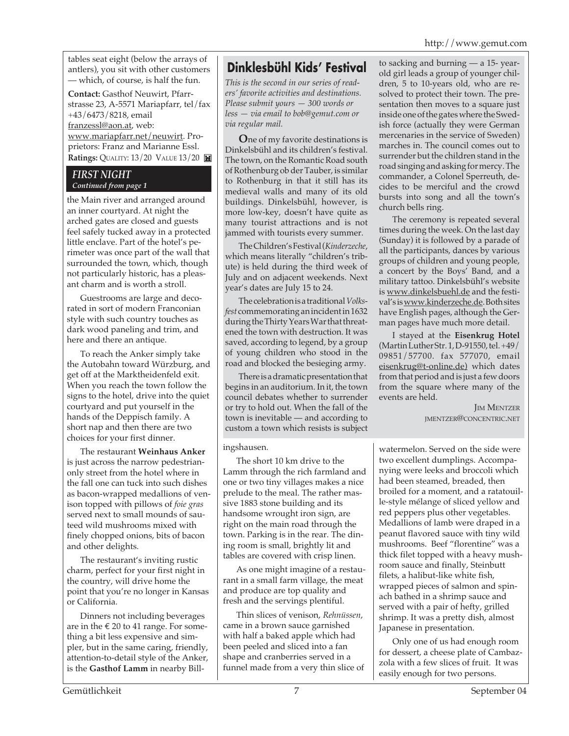tables seat eight (below the arrays of antlers), you sit with other customers — which, of course, is half the fun.

**Contact:** Gasthof Neuwirt, Pfarrstrasse 23, A-5571 Mariapfarr, tel/fax +43/6473/8218, email franzessl@aon.at, web: www.mariapfarr.net/neuwirt. Proprietors: Franz and Marianne Essl. **Ratings:** QUALITY: 13/20 VALUE 13/20 **M** 

#### *FIRST NIGHT Continued from page 1*

the Main river and arranged around an inner courtyard. At night the arched gates are closed and guests feel safely tucked away in a protected little enclave. Part of the hotel's perimeter was once part of the wall that surrounded the town, which, though not particularly historic, has a pleasant charm and is worth a stroll.

Guestrooms are large and decorated in sort of modern Franconian style with such country touches as dark wood paneling and trim, and here and there an antique.

To reach the Anker simply take the Autobahn toward Würzburg, and get off at the Marktheidenfeld exit. When you reach the town follow the signs to the hotel, drive into the quiet courtyard and put yourself in the hands of the Deppisch family. A short nap and then there are two choices for your first dinner.

The restaurant **Weinhaus Anker** is just across the narrow pedestrianonly street from the hotel where in the fall one can tuck into such dishes as bacon-wrapped medallions of venison topped with pillows of *foie gras* served next to small mounds of sauteed wild mushrooms mixed with finely chopped onions, bits of bacon and other delights.

The restaurant's inviting rustic charm, perfect for your first night in the country, will drive home the point that you're no longer in Kansas or California.

Dinners not including beverages are in the  $\epsilon$  20 to 41 range. For something a bit less expensive and simpler, but in the same caring, friendly, attention-to-detail style of the Anker, is the **Gasthof Lamm** in nearby Bill-

## **Dinklesbühl Kids' Festival**

*This is the second in our series of readers' favorite activities and destinations. Please submit yours — 300 words or less — via email to bob@gemut.com or via regular mail.*

**O**ne of my favorite destinations is Dinkelsbühl and its children's festival. The town, on the Romantic Road south of Rothenburg ob der Tauber, is similar to Rothenburg in that it still has its medieval walls and many of its old buildings. Dinkelsbühl, however, is more low-key, doesn't have quite as many tourist attractions and is not jammed with tourists every summer.

The Children's Festival (*Kinderzeche*, which means literally "children's tribute) is held during the third week of July and on adjacent weekends. Next year's dates are July 15 to 24.

The celebration is a traditional *Volksfest* commemorating an incident in 1632 during the Thirty Years War that threatened the town with destruction. It was saved, according to legend, by a group of young children who stood in the road and blocked the besieging army.

There is a dramatic presentation that begins in an auditorium. In it, the town council debates whether to surrender or try to hold out. When the fall of the town is inevitable — and according to custom a town which resists is subject

#### ingshausen.

The short 10 km drive to the Lamm through the rich farmland and one or two tiny villages makes a nice prelude to the meal. The rather massive 1883 stone building and its handsome wrought iron sign, are right on the main road through the town. Parking is in the rear. The dining room is small, brightly lit and tables are covered with crisp linen.

As one might imagine of a restaurant in a small farm village, the meat and produce are top quality and fresh and the servings plentiful.

Thin slices of venison, *Rehnüssen*, came in a brown sauce garnished with half a baked apple which had been peeled and sliced into a fan shape and cranberries served in a funnel made from a very thin slice of to sacking and burning — a 15- yearold girl leads a group of younger children, 5 to 10-years old, who are resolved to protect their town. The presentation then moves to a square just inside one of the gates where the Swedish force (actually they were German mercenaries in the service of Sweden) marches in. The council comes out to surrender but the children stand in the road singing and asking for mercy. The commander, a Colonel Sperreuth, decides to be merciful and the crowd bursts into song and all the town's church bells ring.

The ceremony is repeated several times during the week. On the last day (Sunday) it is followed by a parade of all the participants, dances by various groups of children and young people, a concert by the Boys' Band, and a military tattoo. Dinkelsbühl's website is www.dinkelsbuehl.de and the festival's is www.kinderzeche.de. Both sites have English pages, although the German pages have much more detail.

I stayed at the **Eisenkrug Hotel** (Martin Luther Str. 1, D-91550, tel. +49/ 09851/57700. fax 577070, email eisenkrug@t-online.de) which dates from that period and is just a few doors from the square where many of the events are held.

> **JIM MENTZER** JMENTZER@CONCENTRIC.NET

watermelon. Served on the side were two excellent dumplings. Accompanying were leeks and broccoli which had been steamed, breaded, then broiled for a moment, and a ratatouille-style mélange of sliced yellow and red peppers plus other vegetables. Medallions of lamb were draped in a peanut flavored sauce with tiny wild mushrooms. Beef "florentine" was a thick filet topped with a heavy mushroom sauce and finally, Steinbutt filets, a halibut-like white fish, wrapped pieces of salmon and spinach bathed in a shrimp sauce and served with a pair of hefty, grilled shrimp. It was a pretty dish, almost Japanese in presentation.

Only one of us had enough room for dessert, a cheese plate of Cambazzola with a few slices of fruit. It was easily enough for two persons.